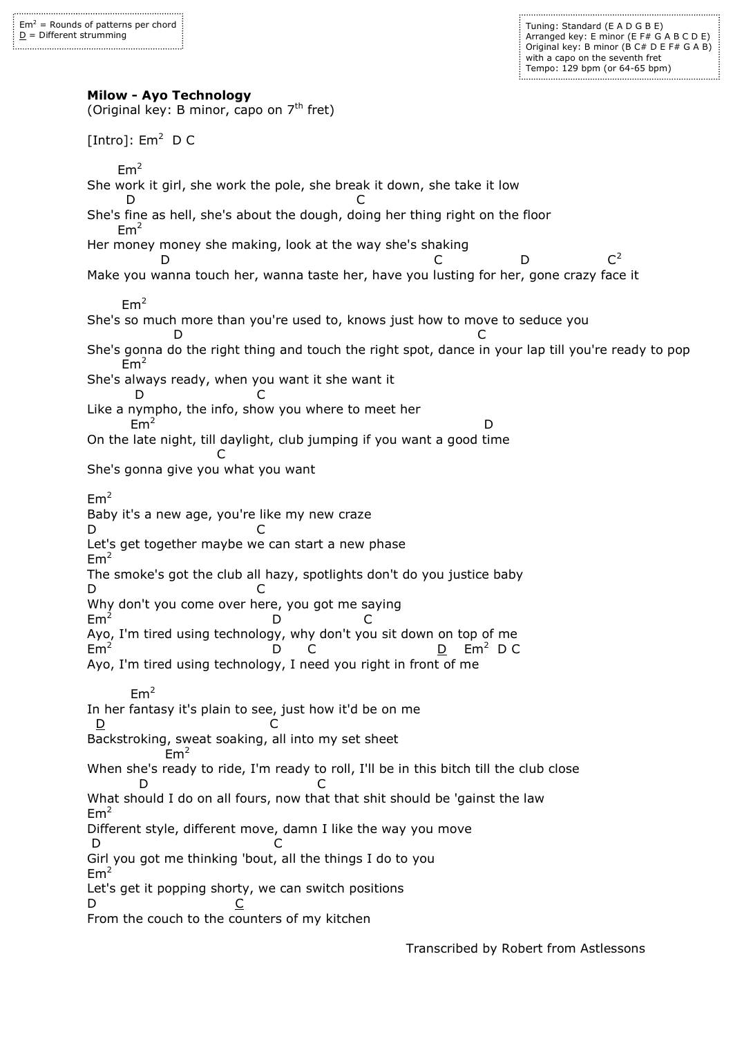Tuning: Standard (E A D G B E) Arranged key: E minor (E F# G A B C D E) Original key: B minor (B C# D E F# G A B) with a capo on the seventh fret Tempo: 129 bpm (or 64-65 bpm)

**Milow - Ayo Technology**

(Original key: B minor, capo on  $7<sup>th</sup>$  fret) [Intro]:  $Em<sup>2</sup>$  D C  $Em<sup>2</sup>$ She work it girl, she work the pole, she break it down, she take it low D C She's fine as hell, she's about the dough, doing her thing right on the floor  $Em<sup>2</sup>$ Her money money she making, look at the way she's shaking D  $C$  D  $C^2$ Make you wanna touch her, wanna taste her, have you lusting for her, gone crazy face it  $Em<sup>2</sup>$ She's so much more than you're used to, knows just how to move to seduce you D C She's gonna do the right thing and touch the right spot, dance in your lap till you're ready to pop  $Em<sup>2</sup>$ She's always ready, when you want it she want it D C Like a nympho, the info, show you where to meet her  $Em<sup>2</sup>$ **D** and the contract of the contract of the contract of the contract of the contract of the contract of the contract of the contract of the contract of the contract of the contract of the contract of the contract of the co On the late night, till daylight, club jumping if you want a good time **C** and the contract of the contract of the contract of the contract of the contract of the contract of the contract of the contract of the contract of the contract of the contract of the contract of the contract of the co She's gonna give you what you want  $Em<sup>2</sup>$ Baby it's a new age, you're like my new craze D C Let's get together maybe we can start a new phase  $Em<sup>2</sup>$ The smoke's got the club all hazy, spotlights don't do you justice baby D C Why don't you come over here, you got me saying  $Em<sup>2</sup>$  D C Ayo, I'm tired using technology, why don't you sit down on top of me E<sub>m</sub> D C D Em<sup>2</sup> D C Ayo, I'm tired using technology, I need you right in front of me  $Em<sup>2</sup>$ In her fantasy it's plain to see, just how it'd be on me  $\overline{D}$  C Backstroking, sweat soaking, all into my set sheet  $Em<sup>2</sup>$ When she's ready to ride, I'm ready to roll, I'll be in this bitch till the club close D C What should I do on all fours, now that that shit should be 'gainst the law  $Em<sup>2</sup>$ Different style, different move, damn I like the way you move D C Girl you got me thinking 'bout, all the things I do to you  $Em<sup>2</sup>$ Let's get it popping shorty, we can switch positions D <u>C</u> From the couch to the counters of my kitchen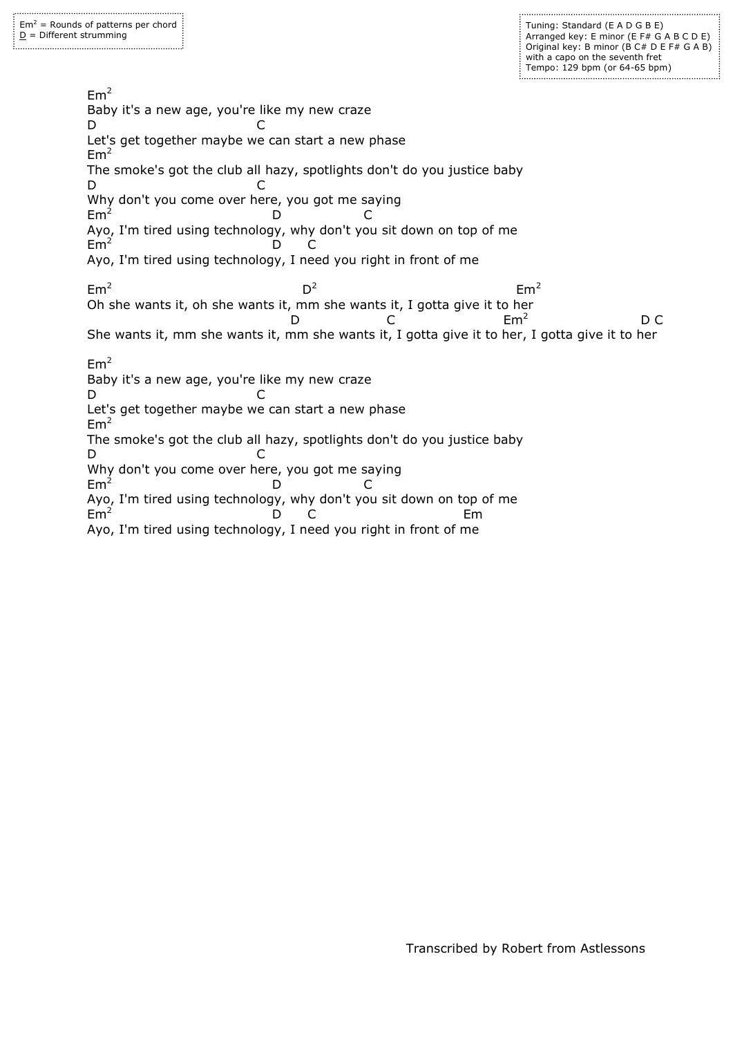Tuning: Standard (E A D G B E) Arranged key: E minor (E F# G A B C D E) Original key: B minor (B C# D E F# G A B) with a capo on the seventh fret Tempo: 129 bpm (or 64-65 bpm) 

 $Em<sup>2</sup>$ Baby it's a new age, you're like my new craze D C Let's get together maybe we can start a new phase  $Em<sup>2</sup>$ The smoke's got the club all hazy, spotlights don't do you justice baby D C Why don't you come over here, you got me saying  $Em<sup>2</sup>$  D C Ayo, I'm tired using technology, why don't you sit down on top of me  $Em<sup>2</sup>$  D C Ayo, I'm tired using technology, I need you right in front of me  $Em<sup>2</sup>$ **District of the Contract of the District of the District of the District of the D**  $D^2$  $Em<sup>2</sup>$ Oh she wants it, oh she wants it, mm she wants it, I gotta give it to her  $D$  C  $Em^2$  $Em<sup>2</sup>$  D C She wants it, mm she wants it, mm she wants it, I gotta give it to her, I gotta give it to her  $Em<sup>2</sup>$ Baby it's a new age, you're like my new craze D C Let's get together maybe we can start a new phase  $Em<sup>2</sup>$ The smoke's got the club all hazy, spotlights don't do you justice baby D C Why don't you come over here, you got me saying  $Em<sup>2</sup>$  D C Ayo, I'm tired using technology, why don't you sit down on top of me  $Em<sup>2</sup>$  D C Em Ayo, I'm tired using technology, I need you right in front of me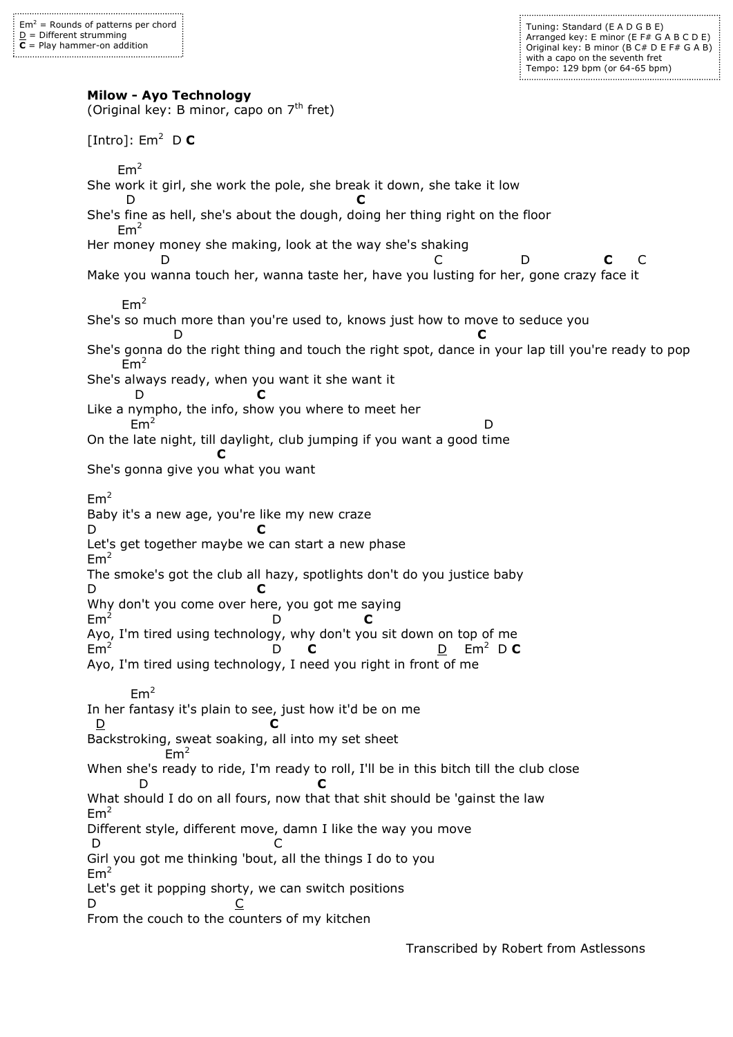Tuning: Standard (E A D G B E) Arranged key: E minor (E F# G A B C D E) Original key: B minor ( $\overline{B}$  C# D E F# G A B) with a capo on the seventh fret Tempo: 129 bpm (or 64-65 bpm)

**Milow - Ayo Technology**

(Original key: B minor, capo on  $7<sup>th</sup>$  fret)  $[Intro]$ : Em<sup>2</sup> D **C**  $Em<sup>2</sup>$ She work it girl, she work the pole, she break it down, she take it low D **C** She's fine as hell, she's about the dough, doing her thing right on the floor  $Em<sup>2</sup>$ Her money money she making, look at the way she's shaking D C D **C** C Make you wanna touch her, wanna taste her, have you lusting for her, gone crazy face it  $Em<sup>2</sup>$ She's so much more than you're used to, knows just how to move to seduce you D **C** She's gonna do the right thing and touch the right spot, dance in your lap till you're ready to pop  $Em<sup>2</sup>$ She's always ready, when you want it she want it D **C** Like a nympho, the info, show you where to meet her  $Em<sup>2</sup>$ **D** and the contract of the contract of the contract of the contract of the contract of the contract of the contract of the contract of the contract of the contract of the contract of the contract of the contract of the co On the late night, till daylight, club jumping if you want a good time **C** She's gonna give you what you want  $Em<sup>2</sup>$ Baby it's a new age, you're like my new craze D **C** Let's get together maybe we can start a new phase  $Em<sup>2</sup>$ The smoke's got the club all hazy, spotlights don't do you justice baby D **C** Why don't you come over here, you got me saying  $Em<sup>2</sup>$  D **C** Ayo, I'm tired using technology, why don't you sit down on top of me E<sub>m</sub> D **C** D Em<sup>2</sup> D **C** Ayo, I'm tired using technology, I need you right in front of me  $Em<sup>2</sup>$ In her fantasy it's plain to see, just how it'd be on me D **C** Backstroking, sweat soaking, all into my set sheet  $Em<sup>2</sup>$ When she's ready to ride, I'm ready to roll, I'll be in this bitch till the club close D **C** What should I do on all fours, now that that shit should be 'gainst the law  $Em<sup>2</sup>$ Different style, different move, damn I like the way you move D C Girl you got me thinking 'bout, all the things I do to you  $Em<sup>2</sup>$ Let's get it popping shorty, we can switch positions D <u>C</u> From the couch to the counters of my kitchen